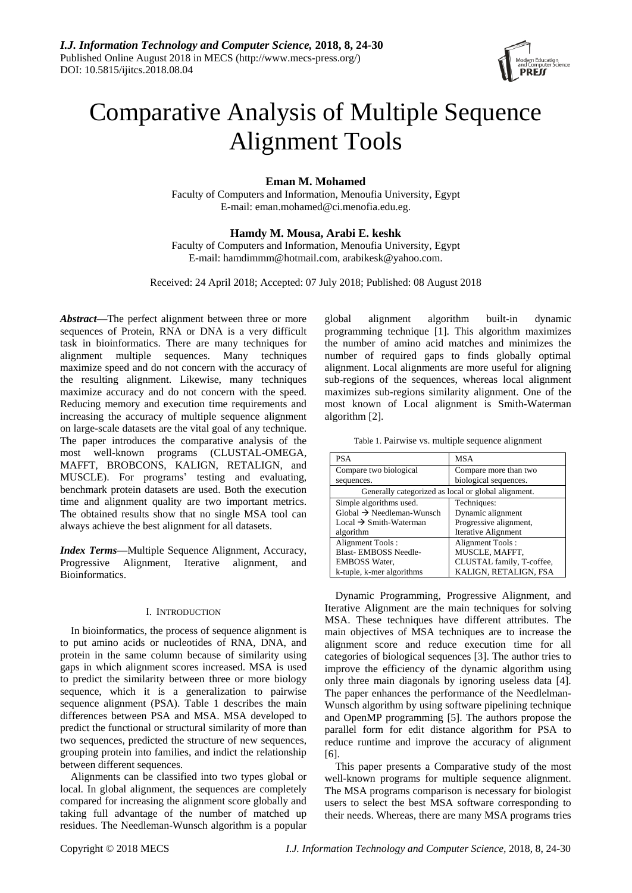

# Comparative Analysis of Multiple Sequence Alignment Tools

# **Eman M. Mohamed**

Faculty of Computers and Information, Menoufia University, Egypt E-mail[: eman.mohamed@ci.menofia.edu.eg.](mailto:eman.mohamed@ci.menofia.edu.eg)

# **Hamdy M. Mousa, Arabi E. keshk**

Faculty of Computers and Information, Menoufia University, Egypt E-mail: [hamdimmm@hotmail.com,](mailto:hamdimmm@hotmail.com) [arabikesk@yahoo.com.](mailto:arabikesk@yahoo.com)

Received: 24 April 2018; Accepted: 07 July 2018; Published: 08 August 2018

*Abstract***—**The perfect alignment between three or more sequences of Protein, RNA or DNA is a very difficult task in bioinformatics. There are many techniques for alignment multiple sequences. Many techniques maximize speed and do not concern with the accuracy of the resulting alignment. Likewise, many techniques maximize accuracy and do not concern with the speed. Reducing memory and execution time requirements and increasing the accuracy of multiple sequence alignment on large-scale datasets are the vital goal of any technique. The paper introduces the comparative analysis of the most well-known programs (CLUSTAL-OMEGA, MAFFT, BROBCONS, KALIGN, RETALIGN, and MUSCLE). For programs' testing and evaluating, benchmark protein datasets are used. Both the execution time and alignment quality are two important metrics. The obtained results show that no single MSA tool can always achieve the best alignment for all datasets.

*Index Terms***—**Multiple Sequence Alignment, Accuracy, Progressive Alignment, Iterative alignment, and Bioinformatics.

# I. INTRODUCTION

In bioinformatics, the process of sequence alignment is to put amino acids or nucleotides of RNA, DNA, and protein in the same column because of similarity using gaps in which alignment scores increased. MSA is used to predict the similarity between three or more biology sequence, which it is a generalization to pairwise sequence alignment (PSA). Table 1 describes the main differences between PSA and MSA. MSA developed to predict the functional or structural similarity of more than two sequences, predicted the structure of new sequences, grouping protein into families, and indict the relationship between different sequences.

Alignments can be classified into two types global or local. In global alignment, the sequences are completely compared for increasing the alignment score globally and taking full advantage of the number of matched up residues. The Needleman-Wunsch algorithm is a popular

global alignment algorithm built-in dynamic programming technique [1]. This algorithm maximizes the number of amino acid matches and minimizes the number of required gaps to finds globally optimal alignment. Local alignments are more useful for aligning sub-regions of the sequences, whereas local alignment maximizes sub-regions similarity alignment. One of the most known of Local alignment is Smith-Waterman algorithm [2].

Table 1. Pairwise vs. multiple sequence alignment

| <b>PSA</b>                                          | <b>MSA</b>                 |  |  |  |  |
|-----------------------------------------------------|----------------------------|--|--|--|--|
| Compare two biological                              | Compare more than two      |  |  |  |  |
| sequences.                                          | biological sequences.      |  |  |  |  |
| Generally categorized as local or global alignment. |                            |  |  |  |  |
| Simple algorithms used.                             | Techniques:                |  |  |  |  |
| $Global \rightarrow Needleman-Wunsch$               | Dynamic alignment          |  |  |  |  |
| Local $\rightarrow$ Smith-Waterman                  | Progressive alignment,     |  |  |  |  |
| algorithm                                           | <b>Iterative Alignment</b> |  |  |  |  |
| Alignment Tools:                                    | Alignment Tools:           |  |  |  |  |
| <b>Blast-EMBOSS Needle-</b>                         | MUSCLE, MAFFT,             |  |  |  |  |
| <b>EMBOSS Water,</b>                                | CLUSTAL family, T-coffee,  |  |  |  |  |
| k-tuple, k-mer algorithms                           | KALIGN, RETALIGN, FSA      |  |  |  |  |

Dynamic Programming, Progressive Alignment, and Iterative Alignment are the main techniques for solving MSA. These techniques have different attributes. The main objectives of MSA techniques are to increase the alignment score and reduce execution time for all categories of biological sequences [3]. The author tries to improve the efficiency of the dynamic algorithm using only three main diagonals by ignoring useless data [4]. The paper enhances the performance of the Needlelman-Wunsch algorithm by using software pipelining technique and OpenMP programming [5]. The authors propose the parallel form for edit distance algorithm for PSA to reduce runtime and improve the accuracy of alignment [6].

This paper presents a Comparative study of the most well-known programs for multiple sequence alignment. The MSA programs comparison is necessary for biologist users to select the best MSA software corresponding to their needs. Whereas, there are many MSA programs tries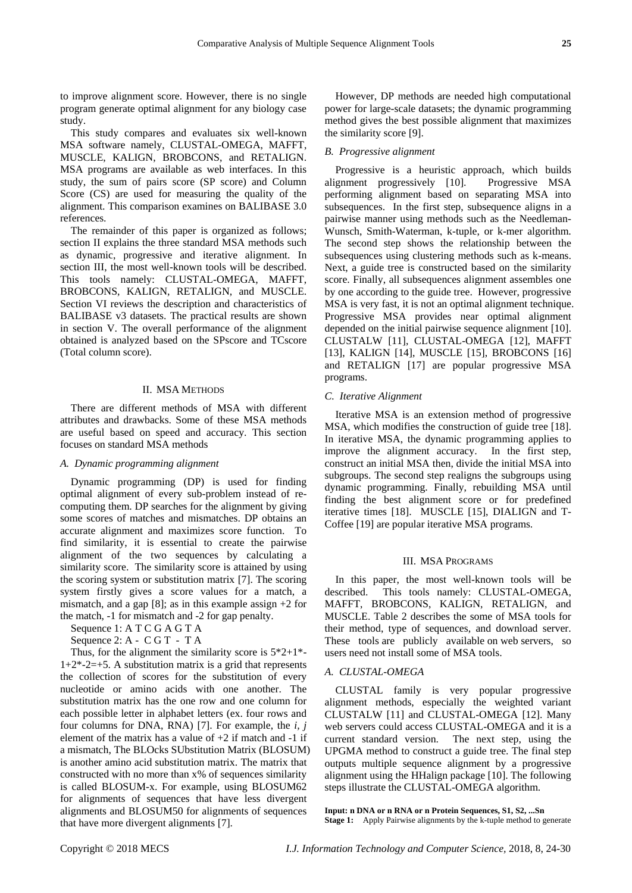to improve alignment score. However, there is no single program generate optimal alignment for any biology case study.

This study compares and evaluates six well-known MSA software namely, CLUSTAL-OMEGA, MAFFT, MUSCLE, KALIGN, BROBCONS, and RETALIGN. MSA programs are available as web interfaces. In this study, the sum of pairs score (SP score) and Column Score (CS) are used for measuring the quality of the alignment. This comparison examines on BALIBASE 3.0 references.

The remainder of this paper is organized as follows; section II explains the three standard MSA methods such as dynamic, progressive and iterative alignment. In section III, the most well-known tools will be described. This tools namely: CLUSTAL-OMEGA, MAFFT, BROBCONS, KALIGN, RETALIGN, and MUSCLE. Section VI reviews the description and characteristics of BALIBASE v3 datasets. The practical results are shown in section V. The overall performance of the alignment obtained is analyzed based on the SPscore and TCscore (Total column score).

# II. MSA METHODS

There are different methods of MSA with different attributes and drawbacks. Some of these MSA methods are useful based on speed and accuracy. This section focuses on standard MSA methods

#### *A. Dynamic programming alignment*

Dynamic programming (DP) is used for finding optimal alignment of every sub-problem instead of recomputing them. DP searches for the alignment by giving some scores of matches and mismatches. DP obtains an accurate alignment and maximizes score function. To find similarity, it is essential to create the pairwise alignment of the two sequences by calculating a similarity score. The similarity score is attained by using the scoring system or substitution matrix [7]. The scoring system firstly gives a score values for a match, a mismatch, and a gap [8]; as in this example assign  $+2$  for the match, -1 for mismatch and -2 for gap penalty.

Sequence 1: A T C G A G T A

Sequence 2: A - C G T - T A

Thus, for the alignment the similarity score is  $5*2+1*$ - $1+2*-2=+5$ . A substitution matrix is a grid that represents the collection of scores for the substitution of every nucleotide or amino acids with one another. The substitution matrix has the one row and one column for each possible letter in alphabet letters (ex. four rows and four columns for DNA, RNA) [7]. For example, the *i, j* element of the matrix has a value of  $+2$  if match and  $-1$  if a mismatch, The BLOcks SUbstitution Matrix (BLOSUM) is another amino acid substitution matrix. The matrix that constructed with no more than x% of sequences similarity is called BLOSUM-x. For example, using BLOSUM62 for alignments of sequences that have less divergent alignments and BLOSUM50 for alignments of sequences that have more divergent alignments [7].

However, DP methods are needed high computational power for large-scale datasets; the dynamic programming method gives the best possible alignment that maximizes the similarity score [9].

# *B. Progressive alignment*

Progressive is a heuristic approach, which builds alignment progressively [10]. Progressive MSA performing alignment based on separating MSA into subsequences. In the first step, subsequence aligns in a pairwise manner using methods such as the Needleman-Wunsch, Smith-Waterman, k-tuple, or k-mer algorithm. The second step shows the relationship between the subsequences using clustering methods such as k-means. Next, a guide tree is constructed based on the similarity score. Finally, all subsequences alignment assembles one by one according to the guide tree. However, progressive MSA is very fast, it is not an optimal alignment technique. Progressive MSA provides near optimal alignment depended on the initial pairwise sequence alignment [10]. CLUSTALW [11], CLUSTAL-OMEGA [12], MAFFT [13], KALIGN [14], MUSCLE [15], BROBCONS [16] and RETALIGN [17] are popular progressive MSA programs.

## *C. Iterative Alignment*

Iterative MSA is an extension method of progressive MSA, which modifies the construction of guide tree [18]. In iterative MSA, the dynamic programming applies to improve the alignment accuracy. In the first step, construct an initial MSA then, divide the initial MSA into subgroups. The second step realigns the subgroups using dynamic programming. Finally, rebuilding MSA until finding the best alignment score or for predefined iterative times [18]. MUSCLE [15], DIALIGN and T-Coffee [19] are popular iterative MSA programs.

## III. MSA PROGRAMS

In this paper, the most well-known tools will be described. This tools namely: CLUSTAL-OMEGA, MAFFT, BROBCONS, KALIGN, RETALIGN, and MUSCLE. Table 2 describes the some of MSA tools for their method, type of sequences, and download server. These tools are publicly available on web servers, so users need not install some of MSA tools.

## *A. CLUSTAL-OMEGA*

CLUSTAL family is very popular progressive alignment methods, especially the weighted variant CLUSTALW [11] and CLUSTAL-OMEGA [12]. Many web servers could access CLUSTAL-OMEGA and it is a current standard version. The next step, using the UPGMA method to construct a guide tree. The final step outputs multiple sequence alignment by a progressive alignment using the HHalign package [10]. The following steps illustrate the CLUSTAL-OMEGA algorithm.

**Input: n DNA or n RNA or n Protein Sequences, S1, S2, ...Sn Stage 1:** Apply Pairwise alignments by the k-tuple method to generate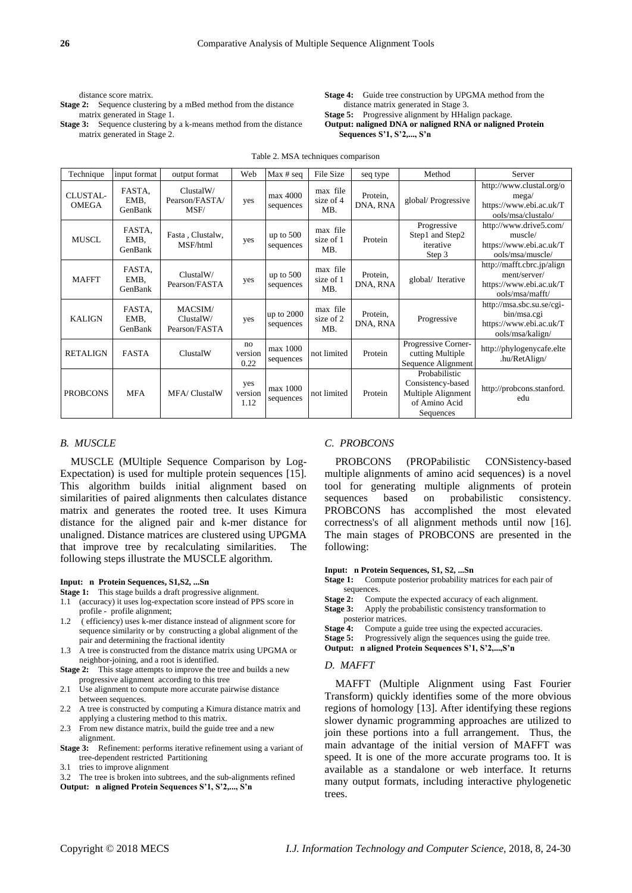distance score matrix.

**Stage 2:** Sequence clustering by a mBed method from the distance matrix generated in Stage 1.

**Stage 3:** Sequence clustering by a k-means method from the distance matrix generated in Stage 2.

**Stage 4:** Guide tree construction by UPGMA method from the distance matrix generated in Stage 3. **Stage 5:** Progressive alignment by HHalign package.

# **Output: naligned DNA or naligned RNA or naligned Protein Sequences S'1, S'2,..., S'n**

| Technique                       | input format              | output format                         | Web                    | Max # seq                | <b>File Size</b>             | seq type             | Method                                                                                 | Server                                                                                   |
|---------------------------------|---------------------------|---------------------------------------|------------------------|--------------------------|------------------------------|----------------------|----------------------------------------------------------------------------------------|------------------------------------------------------------------------------------------|
| <b>CLUSTAL-</b><br><b>OMEGA</b> | FASTA.<br>EMB,<br>GenBank | ClustalW/<br>Pearson/FASTA/<br>MSF/   | yes                    | max 4000<br>sequences    | max file<br>size of 4<br>MB. | Protein,<br>DNA, RNA | global/Progressive                                                                     | http://www.clustal.org/o<br>mega/<br>https://www.ebi.ac.uk/T<br>ools/msa/clustalo/       |
| <b>MUSCL</b>                    | FASTA,<br>EMB,<br>GenBank | Fasta, Clustalw,<br>MSF/html          | yes                    | up to $500$<br>sequences | max file<br>size of 1<br>MB. | Protein              | Progressive<br>Step1 and Step2<br>iterative<br>Step 3                                  | http://www.drive5.com/<br>muscle/<br>https://www.ebi.ac.uk/T<br>ools/msa/muscle/         |
| <b>MAFFT</b>                    | FASTA,<br>EMB,<br>GenBank | ClustalW/<br>Pearson/FASTA            | yes                    | up to $500$<br>sequences | max file<br>size of 1<br>MB. | Protein,<br>DNA, RNA | global/ Iterative                                                                      | http://mafft.cbrc.jp/align<br>ment/server/<br>https://www.ebi.ac.uk/T<br>ools/msa/mafft/ |
| <b>KALIGN</b>                   | FASTA,<br>EMB,<br>GenBank | MACSIM/<br>ClustalW/<br>Pearson/FASTA | yes                    | up to 2000<br>sequences  | max file<br>size of 2<br>MB. | Protein,<br>DNA, RNA | Progressive                                                                            | http://msa.sbc.su.se/cgi-<br>bin/msa.cgi<br>https://www.ebi.ac.uk/T<br>ools/msa/kalign/  |
| <b>RETALIGN</b>                 | <b>FASTA</b>              | ClustalW                              | no<br>version<br>0.22  | max 1000<br>sequences    | not limited                  | Protein              | Progressive Corner-<br>cutting Multiple<br>Sequence Alignment                          | http://phylogenycafe.elte<br>.hu/RetAlign/                                               |
| <b>PROBCONS</b>                 | <b>MFA</b>                | <b>MFA/ClustalW</b>                   | yes<br>version<br>1.12 | max 1000<br>sequences    | not limited                  | Protein              | Probabilistic<br>Consistency-based<br>Multiple Alignment<br>of Amino Acid<br>Sequences | http://probcons.stanford.<br>edu                                                         |

Table 2. MSA techniques comparison

# *B. MUSCLE*

MUSCLE (MUltiple Sequence Comparison by Log-Expectation) is used for multiple protein sequences [15]. This algorithm builds initial alignment based on similarities of paired alignments then calculates distance matrix and generates the rooted tree. It uses Kimura distance for the aligned pair and k-mer distance for unaligned. Distance matrices are clustered using UPGMA that improve tree by recalculating similarities. The following steps illustrate the MUSCLE algorithm.

#### **Input: n Protein Sequences, S1,S2, ...Sn**

- **Stage 1:** This stage builds a draft progressive alignment.
- 1.1 (accuracy) it uses log-expectation score instead of PPS score in profile - profile alignment;
- 1.2 ( efficiency) uses k-mer distance instead of alignment score for sequence similarity or by constructing a global alignment of the pair and determining the fractional identity
- 1.3 A tree is constructed from the distance matrix using UPGMA or neighbor-joining, and a root is identified.
- **Stage 2:** This stage attempts to improve the tree and builds a new progressive alignment according to this tree
- 2.1 Use alignment to compute more accurate pairwise distance between sequences.
- 2.2 A tree is constructed by computing a Kimura distance matrix and applying a clustering method to this matrix.
- 2.3 From new distance matrix, build the guide tree and a new alignment.
- **Stage 3:** Refinement: performs iterative refinement using a variant of tree-dependent restricted Partitioning
- tries to improve alignment
- 3.2 The tree is broken into subtrees, and the sub-alignments refined
- **Output: n aligned Protein Sequences S'1, S'2,..., S'n**

# *C. PROBCONS*

PROBCONS (PROPabilistic CONSistency-based multiple alignments of amino acid sequences) is a novel tool for generating multiple alignments of protein sequences based on probabilistic consistency. PROBCONS has accomplished the most elevated correctness's of all alignment methods until now [16]. The main stages of PROBCONS are presented in the following:

#### **Input: n Protein Sequences, S1, S2, ...Sn**

- **Stage 1:** Compute posterior probability matrices for each pair of sequences.<br>Stage 2: Con
- Compute the expected accuracy of each alignment.
- **Stage 3:** Apply the probabilistic consistency transformation to posterior matrices.
- **Stage 4:** Compute a guide tree using the expected accuracies.
- **Stage 5:** Progressively align the sequences using the guide tree.
- **Output: n aligned Protein Sequences S'1, S'2,...,S'n**

## *D. MAFFT*

MAFFT (Multiple Alignment using Fast Fourier Transform) quickly identifies some of the more obvious regions of homology [13]. After identifying these regions slower dynamic programming approaches are utilized to join these portions into a full arrangement. Thus, the main advantage of the initial version of MAFFT was speed. It is one of the more accurate programs too. It is available as a standalone or web interface. It returns many output formats, including interactive phylogenetic trees.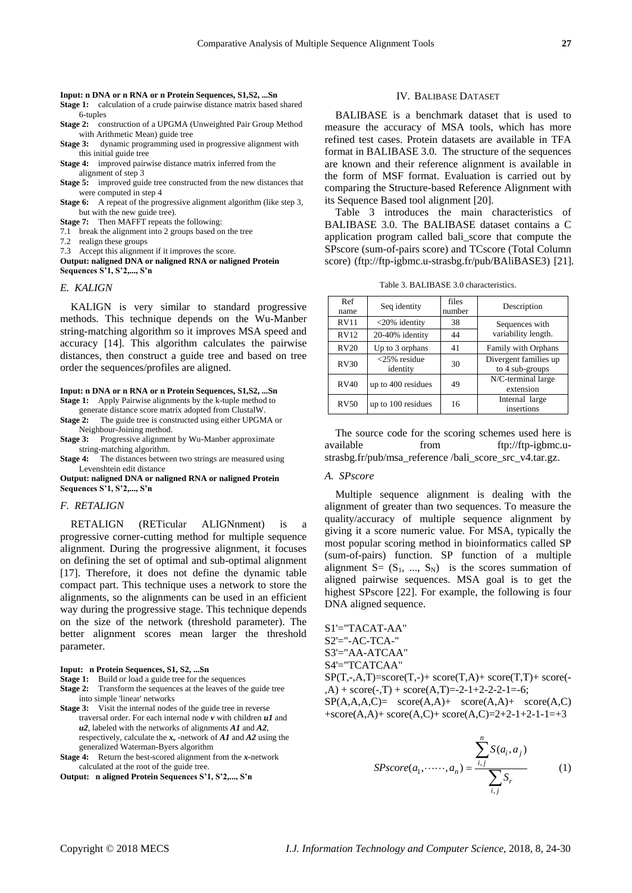**Input: n DNA or n RNA or n Protein Sequences, S1,S2, ...Sn**

**Stage 1:** calculation of a crude pairwise distance matrix based shared 6-tuples

Stage 2: construction of a UPGMA (Unweighted Pair Group Method with Arithmetic Mean) guide tree

**Stage 3:** dynamic programming used in progressive alignment with this initial guide tree

**Stage 4:** improved pairwise distance matrix inferred from the alignment of step 3

**Stage 5:** improved guide tree constructed from the new distances that were computed in step 4

**Stage 6:** A repeat of the progressive alignment algorithm (like step 3, but with the new guide tree).

**Stage 7:** Then MAFFT repeats the following:

7.1 break the alignment into 2 groups based on the tree

7.2 realign these groups

7.3 Accept this alignment if it improves the score.

**Output: naligned DNA or naligned RNA or naligned Protein Sequences S'1, S'2,..., S'n**

# *E. KALIGN*

KALIGN is very similar to standard progressive methods. This technique depends on the Wu-Manber string-matching algorithm so it improves MSA speed and accuracy [14]. This algorithm calculates the pairwise distances, then construct a guide tree and based on tree order the sequences/profiles are aligned.

**Input: n DNA or n RNA or n Protein Sequences, S1,S2, ...Sn Stage 1:** Apply Pairwise alignments by the k-tuple method to

generate distance score matrix adopted from ClustalW. **Stage 2:** The guide tree is constructed using either UPGMA or

Neighbour-Joining method. **Stage 3:** Progressive alignment by Wu-Manber approximate

string-matching algorithm.

**Stage 4:** The distances between two strings are measured using Levenshtein edit distance

**Output: naligned DNA or naligned RNA or naligned Protein Sequences S'1, S'2,..., S'n**

# *F. RETALIGN*

RETALIGN (RETicular ALIGNnment) is a progressive corner-cutting method for multiple sequence alignment. During the progressive alignment, it focuses on defining the set of optimal and sub-optimal alignment [17]. Therefore, it does not define the dynamic table compact part. This technique uses a network to store the alignments, so the alignments can be used in an efficient way during the progressive stage. This technique depends on the size of the network (threshold parameter). The better alignment scores mean larger the threshold parameter.

**Input: n Protein Sequences, S1, S2, ...Sn**

**Stage 1:** Build or load a guide tree for the sequences

- **Stage 2:** Transform the sequences at the leaves of the guide tree into simple 'linear' networks
- **Stage 3:** Visit the internal nodes of the guide tree in reverse traversal order. For each internal node *v* with children *u1* and *u2*, labeled with the networks of alignments *A1* and *A2*, respectively, calculate the *x<sup>v</sup>* -network of *A1* and *A2* using the generalized Waterman-Byers algorithm
- **Stage 4:** Return the best-scored alignment from the *x-*network calculated at the root of the guide tree.

**Output: n aligned Protein Sequences S'1, S'2,..., S'n**

## IV. BALIBASE DATASET

BALIBASE is a benchmark dataset that is used to measure the accuracy of MSA tools, which has more refined test cases. Protein datasets are available in TFA format in BALIBASE 3.0. The structure of the sequences are known and their reference alignment is available in the form of MSF format. Evaluation is carried out by comparing the Structure-based Reference Alignment with its Sequence Based tool alignment [20].

Table 3 introduces the main characteristics of BALIBASE 3.0. The BALIBASE dataset contains a C application program called bali\_score that compute the SPscore (sum-of-pairs score) and TCscore (Total Column score) (ftp://ftp-igbmc.u-strasbg.fr/pub/BAliBASE3) [21].

Table 3. BALIBASE 3.0 characteristics.

| Ref<br>name | Seq identity                | files<br>number | Description                              |
|-------------|-----------------------------|-----------------|------------------------------------------|
| RV11        | <20% identity               | 38              | Sequences with                           |
| RV12        | 20-40% identity             | 44              | variability length.                      |
| <b>RV20</b> | Up to 3 orphans             | 41              | Family with Orphans                      |
| RV30        | $<$ 25% residue<br>identity | 30              | Divergent families up<br>to 4 sub-groups |
| RV40        | up to 400 residues          | 49              | N/C-terminal large<br>extension          |
| RV50        | up to 100 residues          | 16              | Internal large<br>insertions             |

The source code for the scoring schemes used here is available from [ftp://ftp-igbmc.u](ftp://ftp-igbmc.u-strasbg.fr/pub/msa_reference /bali_score_src_v4.tar.gz)[strasbg.fr/pub/msa\\_reference /bali\\_score\\_src\\_v4.tar.gz.](ftp://ftp-igbmc.u-strasbg.fr/pub/msa_reference /bali_score_src_v4.tar.gz)

## *A. SPscore*

Multiple sequence alignment is dealing with the alignment of greater than two sequences. To measure the quality/accuracy of multiple sequence alignment by giving it a score numeric value. For MSA, typically the most popular scoring method in bioinformatics called SP (sum-of-pairs) function. SP function of a multiple alignment  $S = (S_1, ..., S_N)$  is the scores summation of aligned pairwise sequences. MSA goal is to get the highest SPscore [22]. For example, the following is four DNA aligned sequence.

S1'="TACAT-AA" S2'="-AC-TCA-" S3'="AA-ATCAA" S4'="TCATCAA"  $SP(T,-,A,T)=score(T,-)+score(T,A)+score(T,T)+score( (A)$  + score $(-,T)$  + score $(A,T)$ =-2-1+2-2-2-1=-6;  $SP(A, A, A, C) = score(A, A) + score(A, A) + score(A, C)$  $+score(A,A) + score(A,C) + score(A,C) = 2 + 2 - 1 + 2 - 1 - 1 = +3$ 

$$
SPscore(a_1, \cdots, a_n) = \frac{\sum_{i,j}^{n} S(a_i, a_j)}{\sum_{i,j} S_r}
$$
 (1)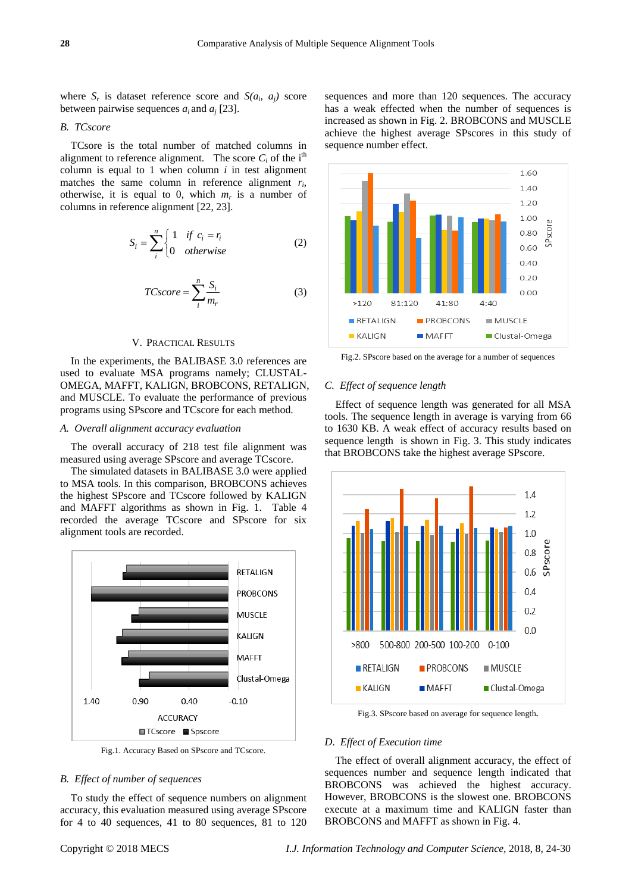where  $S_r$  is dataset reference score and  $S(a_i, a_j)$  score between pairwise sequences  $a_i$  and  $a_j$  [23].

# *B. TCscore*

TCsore is the total number of matched columns in alignment to reference alignment. The score  $C_i$  of the i<sup>th</sup> column is equal to 1 when column  $i$  in test alignment matches the same column in reference alignment  $r_i$ , otherwise, it is equal to 0, which  $m_r$  is a number of columns in reference alignment [22, 23].

$$
S_i = \sum_{i}^{n} \begin{cases} 1 & \text{if } c_i = r_i \\ 0 & \text{otherwise} \end{cases}
$$
 (2)

$$
TCscore = \sum_{i}^{n} \frac{S_i}{m_r}
$$
 (3)

# V. PRACTICAL RESULTS

In the experiments, the BALIBASE 3.0 references are used to evaluate MSA programs namely; CLUSTAL-OMEGA, MAFFT, KALIGN, BROBCONS, RETALIGN, and MUSCLE. To evaluate the performance of previous programs using SPscore and TCscore for each method.

# *A. Overall alignment accuracy evaluation*

The overall accuracy of 218 test file alignment was measured using average SPscore and average TCscore.

The simulated datasets in BALIBASE 3.0 were applied to MSA tools. In this comparison, BROBCONS achieves the highest SPscore and TCscore followed by KALIGN and MAFFT algorithms as shown in Fig. 1. Table 4 recorded the average TCscore and SPscore for six alignment tools are recorded.



Fig.1. Accuracy Based on SPscore and TCscore.

# *B. Effect of number of sequences*

To study the effect of sequence numbers on alignment accuracy, this evaluation measured using average SPscore for 4 to 40 sequences, 41 to 80 sequences, 81 to 120 sequences and more than 120 sequences. The accuracy has a weak effected when the number of sequences is increased as shown in Fig. 2. BROBCONS and MUSCLE achieve the highest average SPscores in this study of sequence number effect.



Fig.2. SPscore based on the average for a number of sequences

#### *C. Effect of sequence length*

Effect of sequence length was generated for all MSA tools. The sequence length in average is varying from 66 to 1630 KB. A weak effect of accuracy results based on sequence length is shown in Fig. 3. This study indicates that BROBCONS take the highest average SPscore.



Fig.3. SPscore based on average for sequence length**.**

# *D*. *Effect of Execution time*

The effect of overall alignment accuracy, the effect of sequences number and sequence length indicated that BROBCONS was achieved the highest accuracy. However, BROBCONS is the slowest one. BROBCONS execute at a maximum time and KALIGN faster than BROBCONS and MAFFT as shown in Fig. 4.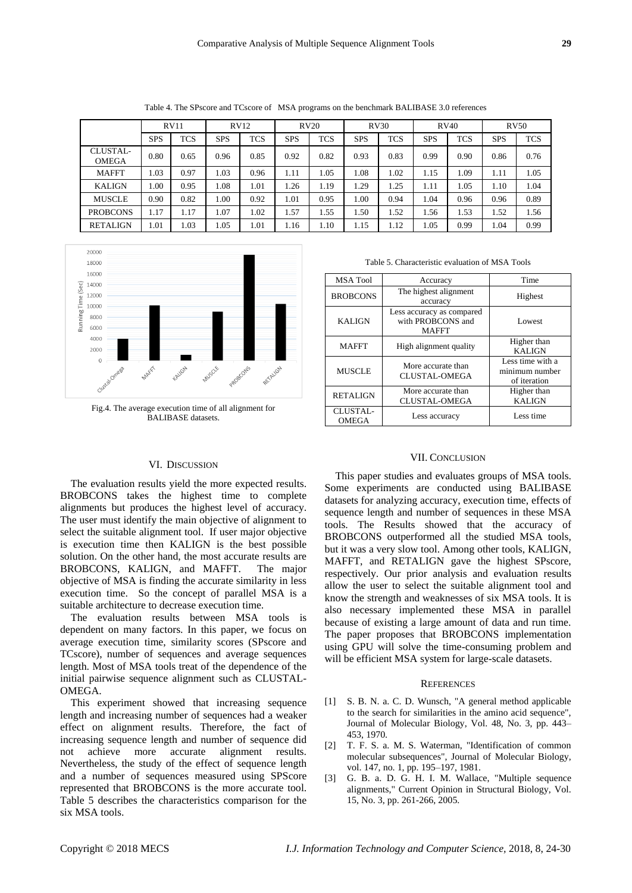Table 4. The SPscore and TCscore of MSA programs on the benchmark BALIBASE 3.0 references

| RV11                     |            |            | RV12       |            | RV20       |            | RV30       |            | RV40       |            | <b>RV50</b> |            |
|--------------------------|------------|------------|------------|------------|------------|------------|------------|------------|------------|------------|-------------|------------|
|                          | <b>SPS</b> | <b>TCS</b> | <b>SPS</b> | <b>TCS</b> | <b>SPS</b> | <b>TCS</b> | <b>SPS</b> | <b>TCS</b> | <b>SPS</b> | <b>TCS</b> | <b>SPS</b>  | <b>TCS</b> |
| CLUSTAL-<br><b>OMEGA</b> | 0.80       | 0.65       | 0.96       | 0.85       | 0.92       | 0.82       | 0.93       | 0.83       | 0.99       | 0.90       | 0.86        | 0.76       |
| <b>MAFFT</b>             | 1.03       | 0.97       | 1.03       | 0.96       | 1.11       | 1.05       | 1.08       | 1.02       | 1.15       | 1.09       | 1.11        | 1.05       |
| <b>KALIGN</b>            | 0.00       | 0.95       | 1.08       | 1.01       | 1.26       | 1.19       | .29        | 1.25       | 1.11       | 1.05       | 1.10        | 1.04       |
| <b>MUSCLE</b>            | 0.90       | 0.82       | 00.1       | 0.92       | 1.01       | 0.95       | 1.00       | 0.94       | 1.04       | 0.96       | 0.96        | 0.89       |
| <b>PROBCONS</b>          | 1.17       | 1.17       | 1.07       | 1.02       | 1.57       | 1.55       | 1.50       | 1.52       | 1.56       | 1.53       | 1.52        | 1.56       |
| <b>RETALIGN</b>          | 1.01       | .03        | 1.05       | 1.01       | 1.16       | 1.10       | 1.15       | 1.12       | 1.05       | 0.99       | 1.04        | 0.99       |



Fig.4. The average execution time of all alignment for BALIBASE datasets.

# VI. DISCUSSION

The evaluation results yield the more expected results. BROBCONS takes the highest time to complete alignments but produces the highest level of accuracy. The user must identify the main objective of alignment to select the suitable alignment tool. If user major objective is execution time then KALIGN is the best possible solution. On the other hand, the most accurate results are BROBCONS, KALIGN, and MAFFT. The major objective of MSA is finding the accurate similarity in less execution time. So the concept of parallel MSA is a suitable architecture to decrease execution time.

The evaluation results between MSA tools is dependent on many factors. In this paper, we focus on average execution time, similarity scores (SPscore and TCscore), number of sequences and average sequences length. Most of MSA tools treat of the dependence of the initial pairwise sequence alignment such as CLUSTAL-OMEGA.

This experiment showed that increasing sequence length and increasing number of sequences had a weaker effect on alignment results. Therefore, the fact of increasing sequence length and number of sequence did not achieve more accurate alignment results. Nevertheless, the study of the effect of sequence length and a number of sequences measured using SPScore represented that BROBCONS is the more accurate tool. Table 5 describes the characteristics comparison for the six MSA tools.

Table 5. Characteristic evaluation of MSA Tools

| <b>MSA Tool</b>          | Accuracy                                                       | Time                                               |  |  |
|--------------------------|----------------------------------------------------------------|----------------------------------------------------|--|--|
| <b>BROBCONS</b>          | The highest alignment<br>accuracy                              | Highest                                            |  |  |
| <b>KALIGN</b>            | Less accuracy as compared<br>with PROBCONS and<br><b>MAFFT</b> | Lowest                                             |  |  |
| <b>MAFFT</b>             | High alignment quality                                         | Higher than<br><b>KALIGN</b>                       |  |  |
| <b>MUSCLE</b>            | More accurate than<br><b>CLUSTAL-OMEGA</b>                     | Less time with a<br>minimum number<br>of iteration |  |  |
| <b>RETALIGN</b>          | More accurate than<br><b>CLUSTAL-OMEGA</b>                     | Higher than<br><b>KALIGN</b>                       |  |  |
| CLUSTAL-<br><b>OMEGA</b> | Less accuracy                                                  | Less time                                          |  |  |

# VII. CONCLUSION

This paper studies and evaluates groups of MSA tools. Some experiments are conducted using BALIBASE datasets for analyzing accuracy, execution time, effects of sequence length and number of sequences in these MSA tools. The Results showed that the accuracy of BROBCONS outperformed all the studied MSA tools, but it was a very slow tool. Among other tools, KALIGN, MAFFT, and RETALIGN gave the highest SPscore, respectively. Our prior analysis and evaluation results allow the user to select the suitable alignment tool and know the strength and weaknesses of six MSA tools. It is also necessary implemented these MSA in parallel because of existing a large amount of data and run time. The paper proposes that BROBCONS implementation using GPU will solve the time-consuming problem and will be efficient MSA system for large-scale datasets.

#### **REFERENCES**

- [1] S. B. N. a. C. D. Wunsch, "A general method applicable to the search for similarities in the amino acid sequence", Journal of Molecular Biology, Vol. 48, No. 3, pp. 443– 453, 1970.
- [2] T. F. S. a. M. S. Waterman, "Identification of common molecular subsequences", Journal of Molecular Biology, vol. 147, no. 1, pp. 195–197, 1981.
- [3] G. B. a. D. G. H. I. M. Wallace, "Multiple sequence alignments," Current Opinion in Structural Biology, Vol. 15, No. 3, pp. 261-266, 2005.